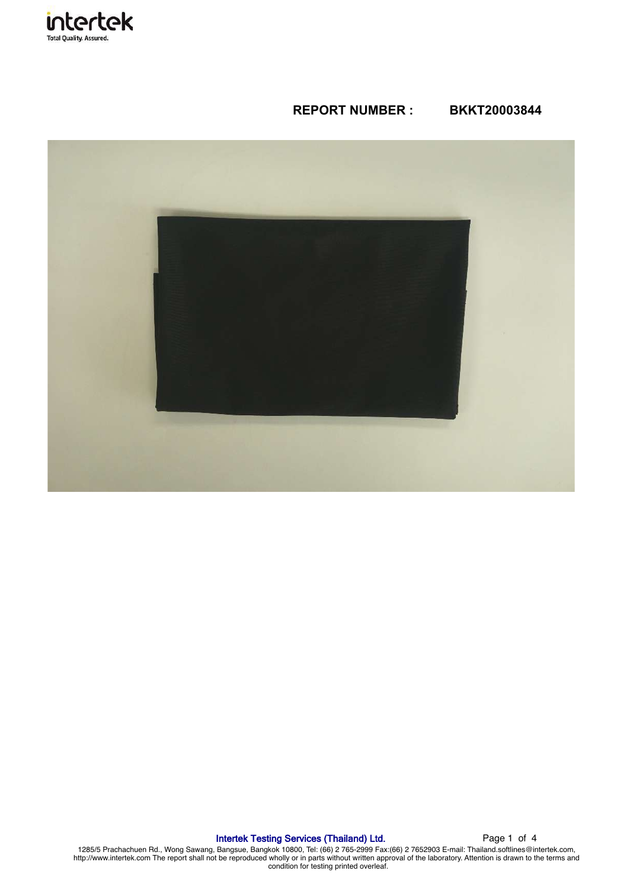

# **REPORT NUMBER : BKKT20003844**



# Intertek Testing Services (Thailand) Ltd. Page 1 of 4

1285/5 Prachachuen Rd., Wong Sawang, Bangsue, Bangkok 10800, Tel: (66) 2 765-2999 Fax:(66) 2 7652903 E-mail: Thailand.softlines@intertek.com,<br>http://www.intertek.com The report shall not be reproduced wholly or in parts wi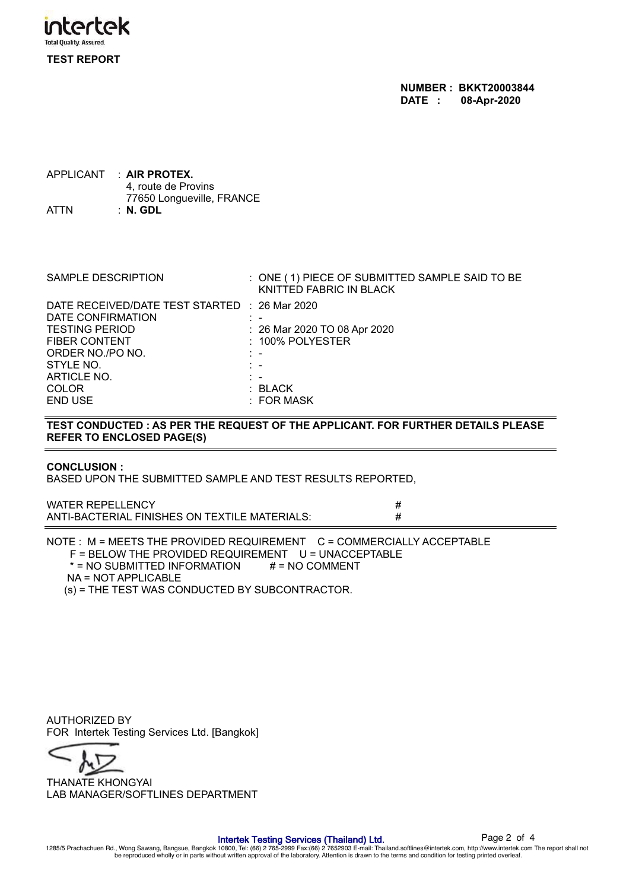

**NUMBER : BKKT20003844 DATE : 08-Apr-2020**

APPLICANT : **AIR PROTEX.** 4, route de Provins 77650 Longueville, FRANCE ATTN : **N. GDL**

| <b>SAMPLE DESCRIPTION</b>                                          | : ONE (1) PIECE OF SUBMITTED SAMPLE SAID TO BE<br>KNITTED FABRIC IN BLACK |
|--------------------------------------------------------------------|---------------------------------------------------------------------------|
| DATE RECEIVED/DATE TEST STARTED : 26 Mar 2020<br>DATE CONFIRMATION |                                                                           |
| <b>TESTING PERIOD</b>                                              | : 26 Mar 2020 TO 08 Apr 2020                                              |
| <b>FIBER CONTENT</b><br>ORDER NO./PO NO.                           | $: 100\%$ POLYESTER                                                       |
| STYLE NO.                                                          |                                                                           |
| ARTICLE NO.<br><b>COLOR</b>                                        | : BLACK                                                                   |
| <b>END USE</b>                                                     | : FOR MASK                                                                |

# **TEST CONDUCTED : AS PER THE REQUEST OF THE APPLICANT. FOR FURTHER DETAILS PLEASE REFER TO ENCLOSED PAGE(S)**

# **CONCLUSION :**

BASED UPON THE SUBMITTED SAMPLE AND TEST RESULTS REPORTED,

WATER REPELLENCY<br>ANTI-BACTERIAL FINISHES ON TEXTILE MATERIALS: ### ANTI-BACTERIAL FINISHES ON TEXTILE MATERIALS:

NOTE : M = MEETS THE PROVIDED REQUIREMENT C = COMMERCIALLY ACCEPTABLE F = BELOW THE PROVIDED REQUIREMENT U = UNACCEPTABLE  $* = NO SUBMITTED INFORMATION$   $\# = NO COMMENT$  NA = NOT APPLICABLE (s) = THE TEST WAS CONDUCTED BY SUBCONTRACTOR.

AUTHORIZED BY FOR Intertek Testing Services Ltd. [Bangkok]



LAB MANAGER/SOFTLINES DEPARTMENT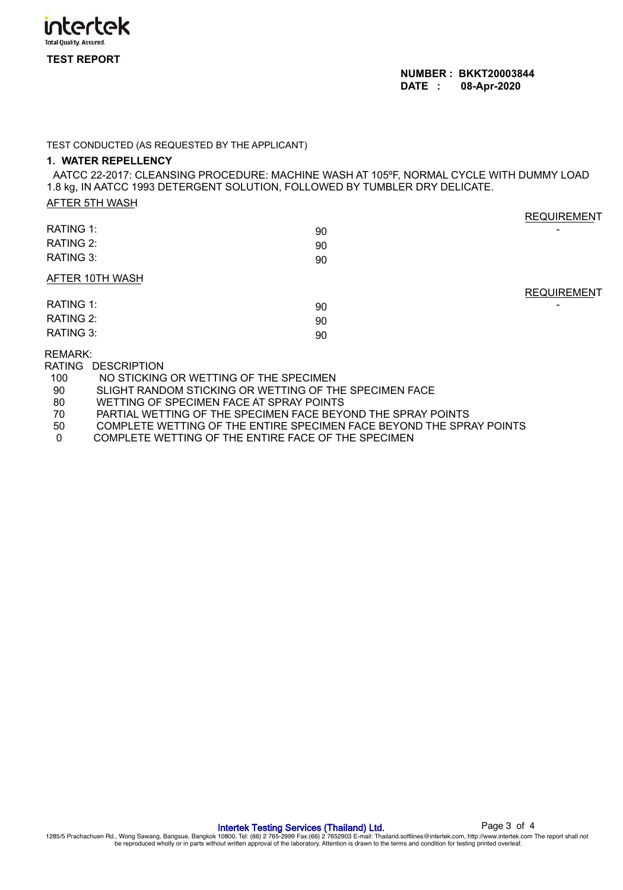

#### TEST CONDUCTED (AS REQUESTED BY THE APPLICANT)

### **1. WATER REPELLENCY**

AATCC 22-2017: CLEANSING PROCEDURE: MACHINE WASH AT 105ºF, NORMAL CYCLE WITH DUMMY LOAD 1.8 kg, IN AATCC 1993 DETERGENT SOLUTION, FOLLOWED BY TUMBLER DRY DELICATE.

|--|

|                 |    | <b>REQUIREMENT</b>       |
|-----------------|----|--------------------------|
| RATING 1:       | 90 | $\blacksquare$           |
| RATING 2:       | 90 |                          |
| RATING 3:       | 90 |                          |
| AFTER 10TH WASH |    |                          |
|                 |    | <b>REQUIREMENT</b>       |
| RATING 1:       | 90 | $\overline{\phantom{0}}$ |
| RATING 2:       | 90 |                          |
| RATING 3:       | 90 |                          |
|                 |    |                          |

## REMARK:

RATING DESCRIPTION

- 100 NO STICKING OR WETTING OF THE SPECIMEN<br>90 SLIGHT RANDOM STICKING OR WETTING OF TH
- 90 SLIGHT RANDOM STICKING OR WETTING OF THE SPECIMEN FACE<br>80 WETTING OF SPECIMEN FACE AT SPRAY POINTS
- 80 WETTING OF SPECIMEN FACE AT SPRAY POINTS<br>70 PARTIAL WETTING OF THE SPECIMEN FACE BEY
- 70 PARTIAL WETTING OF THE SPECIMEN FACE BEYOND THE SPRAY POINTS<br>50 COMPLETE WETTING OF THE ENTIRE SPECIMEN FACE BEYOND THE SPR
- 50 COMPLETE WETTING OF THE ENTIRE SPECIMEN FACE BEYOND THE SPRAY POINTS
- 0 COMPLETE WETTING OF THE ENTIRE FACE OF THE SPECIMEN